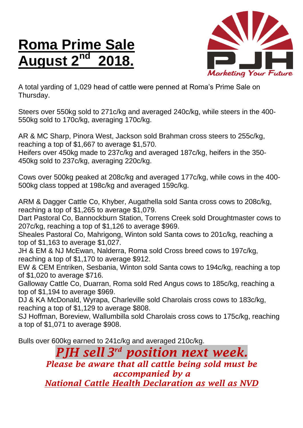## **Roma Prime Sale August 2**



A total yarding of 1,029 head of cattle were penned at Roma's Prime Sale on Thursday.

Steers over 550kg sold to 271c/kg and averaged 240c/kg, while steers in the 400- 550kg sold to 170c/kg, averaging 170c/kg.

AR & MC Sharp, Pinora West, Jackson sold Brahman cross steers to 255c/kg, reaching a top of \$1,667 to average \$1,570.

Heifers over 450kg made to 237c/kg and averaged 187c/kg, heifers in the 350- 450kg sold to 237c/kg, averaging 220c/kg.

Cows over 500kg peaked at 208c/kg and averaged 177c/kg, while cows in the 400- 500kg class topped at 198c/kg and averaged 159c/kg.

ARM & Dagger Cattle Co, Khyber, Augathella sold Santa cross cows to 208c/kg, reaching a top of \$1,265 to average \$1,079.

Dart Pastoral Co, Bannockburn Station, Torrens Creek sold Droughtmaster cows to 207c/kg, reaching a top of \$1,126 to average \$969.

Sheales Pastoral Co, Mahrigong, Winton sold Santa cows to 201c/kg, reaching a top of \$1,163 to average \$1,027.

JH & EM & NJ McEwan, Nalderra, Roma sold Cross breed cows to 197c/kg, reaching a top of \$1,170 to average \$912.

EW & CEM Entriken, Sesbania, Winton sold Santa cows to 194c/kg, reaching a top of \$1,020 to average \$716.

Galloway Cattle Co, Duarran, Roma sold Red Angus cows to 185c/kg, reaching a top of \$1,194 to average \$969.

DJ & KA McDonald, Wyrapa, Charleville sold Charolais cross cows to 183c/kg, reaching a top of \$1,129 to average \$808.

SJ Hoffman, Boreview, Wallumbilla sold Charolais cross cows to 175c/kg, reaching a top of \$1,071 to average \$908.

Bulls over 600kg earned to 241c/kg and averaged 210c/kg.

*PJH sell 3 rd position next week. Please be aware that all cattle being sold must be accompanied by a National Cattle Health Declaration as well as NVD*